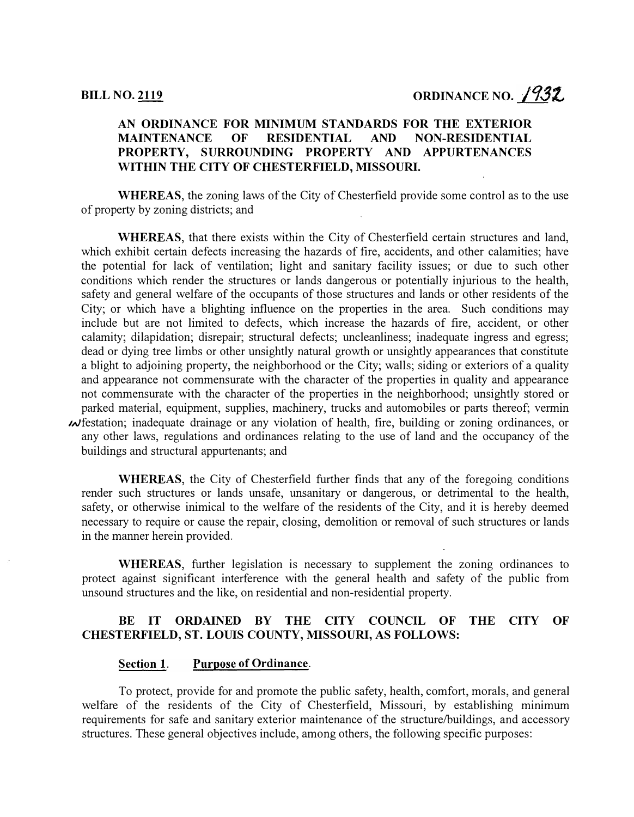## AN ORDINANCE FOR MINIMUM STANDARDS FOR THE EXTERIOR MAINTENANCE OF RESIDENTIAL AND NON-RESIDENTIAL PROPERTY, SURROUNDING PROPERTY AND APPURTENANCES WITHIN THE CITY OF CHESTERFIELD, MISSOURI.

WHEREAS, the zoning laws of the City of Chesterfield provide some control as to the use of property by zoning districts; and

WHEREAS, that there exists within the City of Chesterfield certain structures and land, which exhibit certain defects increasing the hazards of fire, accidents, and other calamities; have the potential for lack of ventilation; light and sanitary facility issues; or due to such other conditions which render the structures or lands dangerous or potentially injurious to the health, safety and general welfare of the occupants of those structures and lands or other residents of the City; or which have a blighting influence on the properties in the area. Such conditions may include but are not limited to defects, which increase the hazards of fire, accident, or other calamity; dilapidation; disrepair; structural defects; uncleanliness; inadequate ingress and egress; dead or dying tree limbs or other unsightly natural growth or unsightly appearances that constitute a blight to adjoining property, the neighborhood or the City; walls; siding or exteriors of a quality and appearance not commensurate with the character of the properties in quality and appearance not commensurate with the character of the properties in the neighborhood; unsightly stored or parked material, equipment, supplies, machinery, trucks and automobiles or parts thereof; vermin  $\mathcal{M}$  festation; inadequate drainage or any violation of health, fire, building or zoning ordinances, or any other laws, regulations and ordinances relating to the use of land and the occupancy of the buildings and structural appurtenants; and

WHEREAS, the City of Chesterfield further finds that any of the foregoing conditions render such structures or lands unsafe, unsanitary or dangerous, or detrimental to the health, safety, or otherwise inimical to the welfare of the residents of the City, and it is hereby deemed necessary to require or cause the repair, closing, demolition or removal of such structures or lands in the manner herein provided.

WHEREAS, further legislation is necessary to supplement the zoning ordinances to protect against significant interference with the general health and safety of the public from unsound structures and the like, on residential and non-residential property.

## BE IT ORDAINED BY THE CITY COUNCIL OF THE CITY OF CHESTERFIELD, ST. LOUIS COUNTY, MISSOURI, AS FOLLOWS:

### Section 1. Purpose of Ordinance.

To protect, provide for and promote the public safety, health, comfort, morals, and general welfare of the residents of the City of Chesterfield, Missouri, by establishing minimum requirements for safe and sanitary exterior maintenance of the structure/buildings, and accessory structures. These general objectives include, among others, the following specific purposes: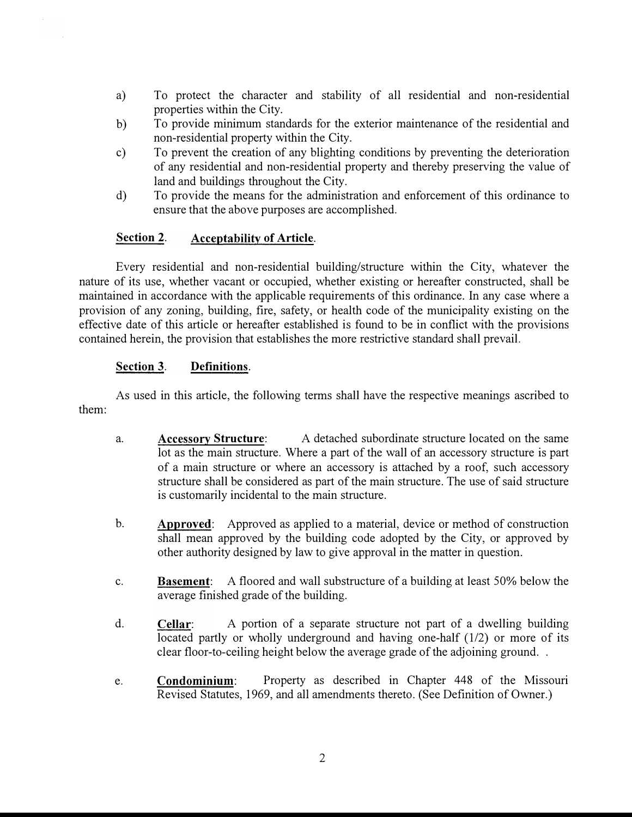- a) To protect the character and stability of all residential and non-residential properties within the City.
- b) To provide minimum standards for the exterior maintenance of the residential and non-residential property within the City.
- c) To prevent the creation of any blighting conditions by preventing the deterioration of any residential and non-residential property and thereby preserving the value of land and buildings throughout the City.
- d) To provide the means for the administration and enforcement of this ordinance to ensure that the above purposes are accomplished.

## Section 2. Acceptability of Article.

Every residential and non-residential building/structure within the City, whatever the nature of its use, whether vacant or occupied, whether existing or hereafter constructed, shall be maintained in accordance with the applicable requirements of this ordinance. In any case where a provision of any zoning, building, fire, safety, or health code of the municipality existing on the effective date of this article or hereafter established is found to be in conflict with the provisions contained herein, the provision that establishes the more restrictive standard shall prevail.

## Section 3. Definitions.

them: As used in this article, the following terms shall have the respective meanings ascribed to

- a. Accessory Structure: A detached subordinate structure located on the same lot as the main structure. Where a part of the wall of an accessory structure is part of a main structure or where an accessory is attached by a roof, such accessory structure shall be considered as part of the main structure. The use of said structure is customarily incidental to the main structure.
- b. Approved: Approved as applied to a material, device or method of construction shall mean approved by the building code adopted by the City, or approved by other authority designed by law to give approval in the matter in question.
- c. Basement: A floored and wall substructure of a building at least 50% below the average finished grade of the building.
- d. Cellar: A portion of a separate structure not part of a dwelling building located partly or wholly underground and having one-half (1/2) or more of its clear floor-to-ceiling height below the average grade of the adjoining ground. .
- e. Condominium: Property as described in Chapter 448 of the Missouri Revised Statutes, 1969, and all amendments thereto. (See Definition of Owner.)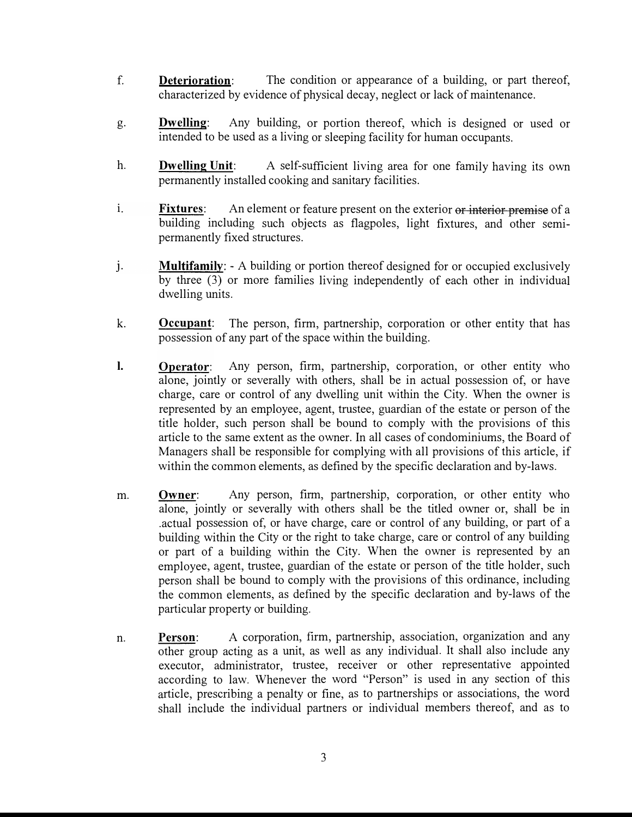- f. Deterioration: The condition or appearance of a building, or part thereof, characterized by evidence of physical decay, neglect or lack of maintenance.
- g. Dwelling: Any building, or portion thereof, which is designed or used or intended to be used as a living or sleeping facility for human occupants.
- h. Dwelling Unit: A self-sufficient living area for one family having its own permanently installed cooking and sanitary facilities.
- 1. Fixtures: An element or feature present on the exterior or interior premise of a building including such objects as flagpoles, light fixtures, and other semipermanently fixed structures.
- j. **Multifamily:** A building or portion thereof designed for or occupied exclusively by three (3) or more families living independently of each other in individual dwelling units.
- k. Occupant: The person, firm, partnership, corporation or other entity that has possession of any part of the space within the building.
- I. Operator: Any person, firm, partnership, corporation, or other entity who alone, jointly or severally with others, shall be in actual possession of, or have charge, care or control of any dwelling unit within the City. When the owner is represented by an employee, agent, trustee, guardian of the estate or person of the title holder, such person shall be bound to comply with the provisions of this article to the same extent as the owner. In all cases of condominiums, the Board of Managers shall be responsible for complying with all provisions of this article, if within the common elements, as defined by the specific declaration and by-laws.
- m. Owner: Any person, firm, partnership, corporation, or other entity who alone, jointly or severally with others shall be the titled owner or, shall be in .actual possession of, or have charge, care or control of any building, or part of a building within the City or the right to take charge, care or control of any building or part of a building within the City. When the owner is represented by an employee, agent, trustee, guardian of the estate or person of the title holder, such person shall be bound to comply with the provisions of this ordinance, including the common elements, as defined by the specific declaration and by-laws of the particular property or building.
- n. Person: A corporation, firm, partnership, association, organization and any other group acting as a unit, as well as any individual. It shall also include any executor, administrator, trustee, receiver or other representative appointed according to law. Whenever the word "Person" is used in any section of this article, prescribing a penalty or fine, as to partnerships or associations, the word shall include the individual partners or individual members thereof, and as to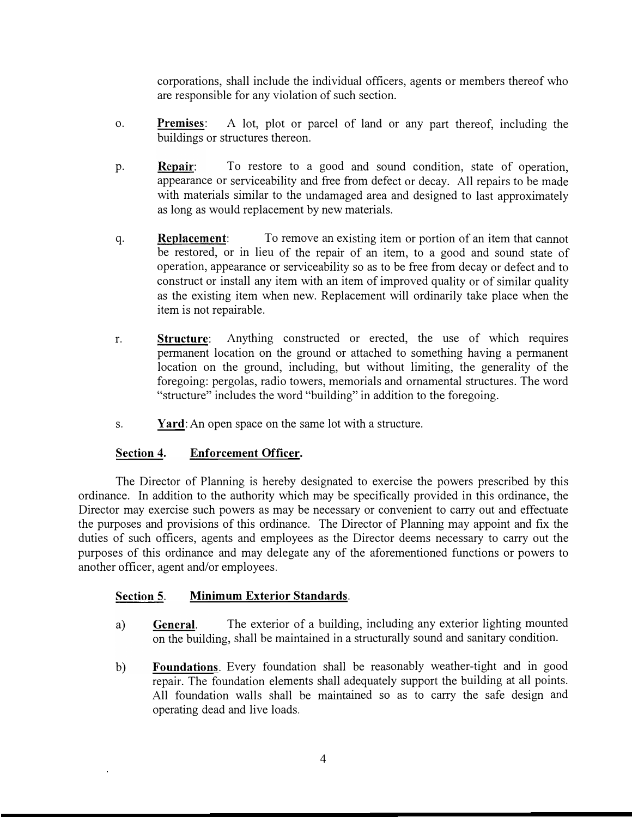corporations, shall include the individual officers, agents or members thereof who are responsible for any violation of such section.

- o. Premises: A lot, plot or parcel of land or any part thereof, including the buildings or structures thereon.
- p. Repair: To restore to a good and sound condition, state of operation, appearance or serviceability and free from defect or decay. All repairs to be made with materials similar to the undamaged area and designed to last approximately as long as would replacement by new materials.
- q. Replacement: To remove an existing item or portion of an item that cannot be restored, or in lieu of the repair of an item, to a good and sound state of operation, appearance or serviceability so as to be free from decay or defect and to construct or install any item with an item of improved quality or of similar quality as the existing item when new. Replacement will ordinarily take place when the item is not repairable.
- r. Structure: Anything constructed or erected, the use of which requires permanent location on the ground or attached to something having a permanent location on the ground, including, but without limiting, the generality of the foregoing: pergolas, radio towers, memorials and ornamental structures. The word "structure" includes the word "building" in addition to the foregoing.
- s. Yard: An open space on the same lot with a structure.

# Section 4. Enforcement Officer.

The Director of Planning is hereby designated to exercise the powers prescribed by this ordinance. In addition to the authority which may be specifically provided in this ordinance, the Director may exercise such powers as may be necessary or convenient to carry out and effectuate the purposes and provisions of this ordinance. The Director of Planning may appoint and fix the duties of such officers, agents and employees as the Director deems necessary to carry out the purposes of this ordinance and may delegate any of the aforementioned functions or powers to another officer, agent and/or employees.

# Section 5. Minimum Exterior Standards.

- a) General. The exterior of a building, including any exterior lighting mounted on the building, shall be maintained in a structurally sound and sanitary condition.
- b) Foundations. Every foundation shall be reasonably weather-tight and in good repair. The foundation elements shall adequately support the building at all points. All foundation walls shall be maintained so as to carry the safe design and operating dead and live loads.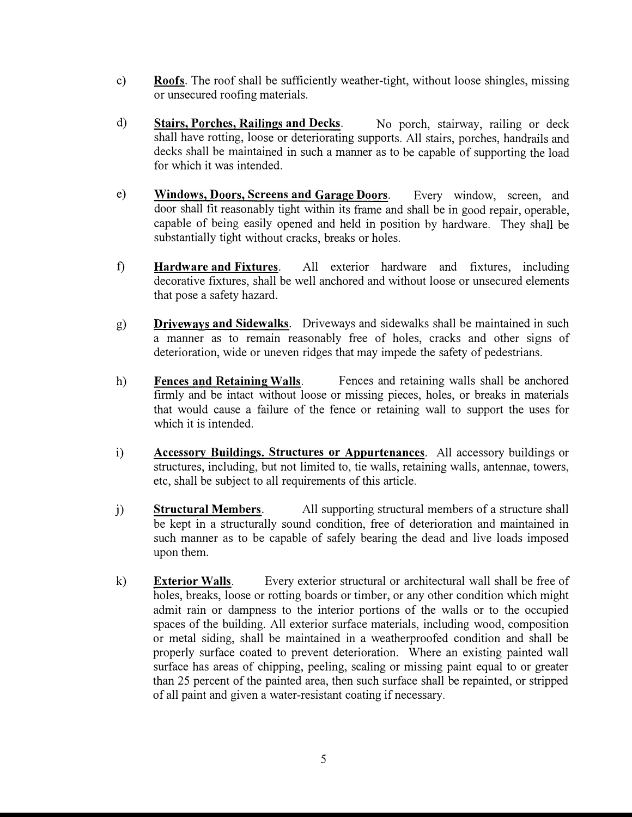- c) Roofs. The roof shall be sufficiently weather-tight, without loose shingles, missing or unsecured roofing materials.
- d) Stairs, Porches, Railings and Decks. No porch, stairway, railing or deck shall have rotting, loose or deteriorating supports. All stairs, porches, handrails and decks shall be maintained in such a manner as to be capable of supporting the load for which it was intended.
- e) Windows, Doors, Screens and Garage Doors. Every window, screen, and door shall fit reasonably tight within its frame and shall be in good repair, operable, capable of being easily opened and held in position by hardware. They shall be substantially tight without cracks, breaks or holes.
- f) Hardware and Fixtures. All exterior hardware and fixtures, including decorative fixtures, shall be well anchored and without loose or unsecured elements that pose a safety hazard.
- g) Driveways and Sidewalks. Driveways and sidewalks shall be maintained in such a manner as to remain reasonably free of holes, cracks and other signs of deterioration, wide or uneven ridges that may impede the safety of pedestrians.
- h) Fences and Retaining Walls. Fences and retaining walls shall be anchored firmly and be intact without loose or missing pieces, holes, or breaks in materials that would cause a failure of the fence or retaining wall to support the uses for which it is intended.
- i) Accessory Buildings. Structures or Appurtenances. All accessory buildings or structures, including, but not limited to, tie walls, retaining walls, antennae, towers, etc, shall be subject to all requirements of this article.
- j) Structural Members. All supporting structural members of a structure shall be kept in a structurally sound condition, free of deterioration and maintained in such manner as to be capable of safely bearing the dead and live loads imposed upon them.
- k) Exterior Walls. Every exterior structural or architectural wall shall be free of holes, breaks, loose or rotting boards or timber, or any other condition which might admit rain or dampness to the interior portions of the walls or to the occupied spaces of the building. All exterior surface materials, including wood, composition or metal siding, shall be maintained in a weatherproofed condition and shall be properly surface coated to prevent deterioration. Where an existing painted wall surface has areas of chipping, peeling, scaling or missing paint equal to or greater than 25 percent of the painted area, then such surface shall be repainted, or stripped of all paint and given a water-resistant coating if necessary.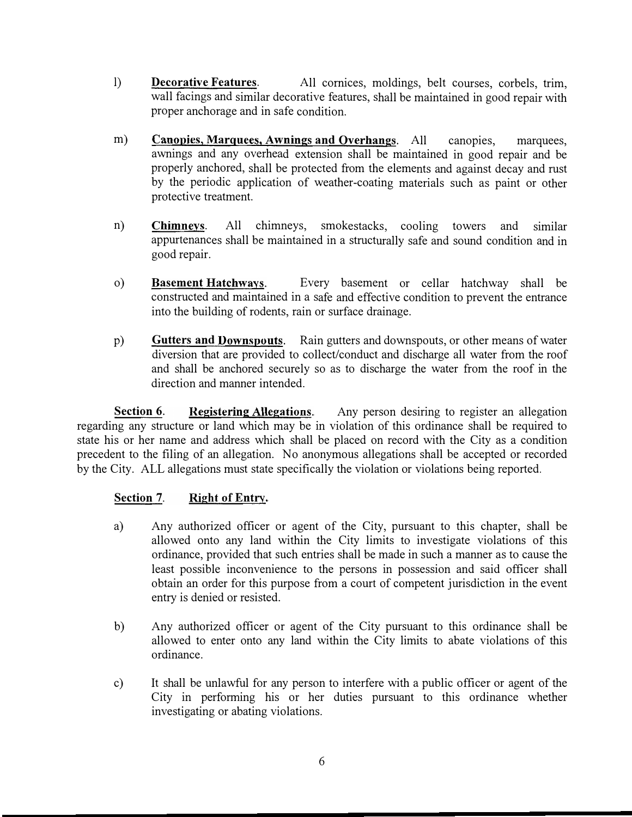- 1) **Decorative Features**. All cornices, moldings, belt courses, corbels, trim, wall facings and similar decorative features, shall be maintained in good repair with proper anchorage and in safe condition.
- m) **Canopies, Marquees, Awnings and Overhangs**. All canopies, marquees, awnings and any overhead extension shall be maintained in good repair and be properly anchored, shall be protected from the elements and against decay and rust by the periodic application of weather-coating materials such as paint or other protective treatment.
- n) Chimneys. All chimneys, smokestacks, cooling towers and similar appurtenances shall be maintained in a structurally safe and sound condition and in good repair.
- o) Basement Hatchways. Every basement or cellar hatchway shall be constructed and maintained in a safe and effective condition to prevent the entrance into the building of rodents, rain or surface drainage.
- p) Gutters and Downspouts. Rain gutters and downspouts, or other means of water diversion that are provided to collect/conduct and discharge all water from the roof and shall be anchored securely so as to discharge the water from the roof in the direction and manner intended.

Section 6. Registering Allegations. Any person desiring to register an allegation regarding any structure or land which may be in violation of this ordinance shall be required to state his or her name and address which shall be placed on record with the City as a condition precedent to the filing of an allegation. No anonymous allegations shall be accepted or recorded by the City. ALL allegations must state specifically the violation or violations being reported.

# Section 7. Right of Entry.

- a) Any authorized officer or agent of the City, pursuant to this chapter, shall be allowed onto any land within the City limits to investigate violations of this ordinance, provided that such entries shall be made in such a manner as to cause the least possible inconvenience to the persons in possession and said officer shall obtain an order for this purpose from a court of competent jurisdiction in the event entry is denied or resisted.
- b) Any authorized officer or agent of the City pursuant to this ordinance shall be allowed to enter onto any land within the City limits to abate violations of this ordinance.
- c) It shall be unlawful for any person to interfere with a public officer or agent of the City in performing his or her duties pursuant to this ordinance whether investigating or abating violations.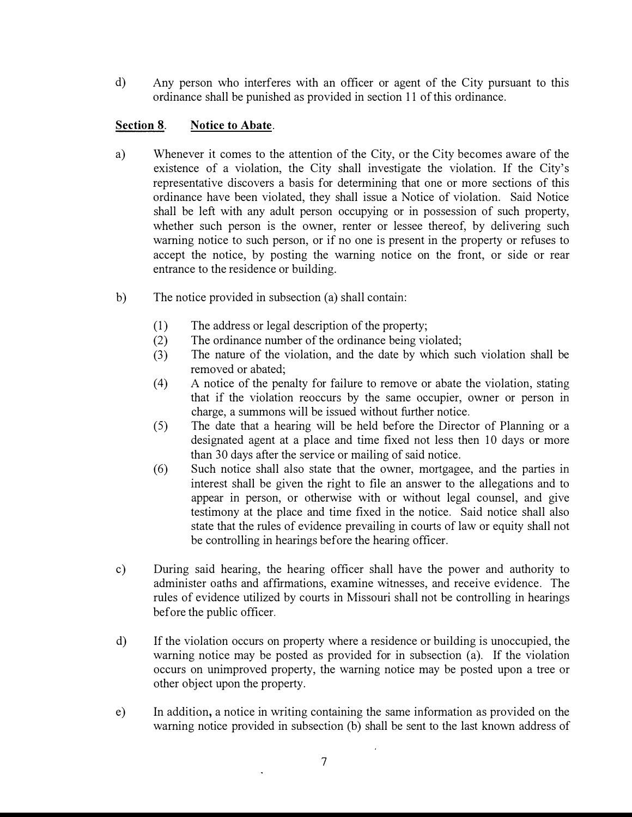d) Any person who interferes with an officer or agent of the City pursuant to this ordinance shall be punished as provided in section 11 of this ordinance.

# Section 8. Notice to Abate.

- a) Whenever it comes to the attention of the City, or the City becomes aware of the existence of a violation, the City shall investigate the violation. If the City's representative discovers a basis for determining that one or more sections of this ordinance have been violated, they shall issue a Notice of violation. Said Notice shall be left with any adult person occupying or in possession of such property, whether such person is the owner, renter or lessee thereof, by delivering such warning notice to such person, or if no one is present in the property or refuses to accept the notice, by posting the warning notice on the front, or side or rear entrance to the residence or building.
- b) The notice provided in subsection (a) shall contain:
	- (1) The address or legal description of the property;
	- (2) The ordinance number of the ordinance being violated;
	- (3) The nature of the violation, and the date by which such violation shall be removed or abated;
	- ( 4) A notice of the penalty for failure to remove or abate the violation, stating that if the violation reoccurs by the same occupier, owner or person in charge, a summons will be issued without further notice.
	- ( 5) The date that a hearing will be held before the Director of Planning or a designated agent at a place and time fixed not less then 10 days or more than 30 days after the service or mailing of said notice.
	- (6) Such notice shall also state that the owner, mortgagee, and the parties in interest shall be given the right to file an answer to the allegations and to appear in person, or otherwise with or without legal counsel, and give testimony at the place and time fixed in the notice. Said notice shall also state that the rules of evidence prevailing in courts of law or equity shall not be controlling in hearings before the hearing officer.
- c) During said hearing, the hearing officer shall have the power and authority to administer oaths and affirmations, examine witnesses, and receive evidence. The rules of evidence utilized by courts in Missouri shall not be controlling in hearings before the public officer.
- d) If the violation occurs on property where a residence or building is unoccupied, the warning notice may be posted as provided for in subsection (a). If the violation occurs on unimproved property, the warning notice may be posted upon a tree or other object upon the property.
- e) In addition, a notice in writing containing the same information as provided on the warning notice provided in subsection (b) shall be sent to the last known address of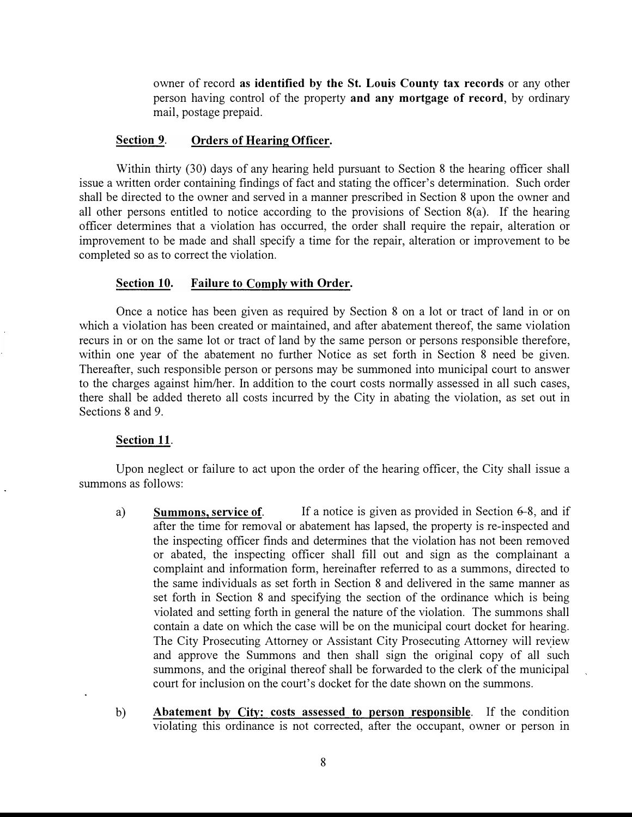owner of record as identified by the St. Louis County tax records or any other person having control of the property and any mortgage of record, by ordinary mail, postage prepaid.

#### Section 9. Orders of Hearing Officer.

Within thirty (30) days of any hearing held pursuant to Section 8 the hearing officer shall issue a written order containing findings of fact and stating the officer's determination. Such order shall be directed to the owner and served in a manner prescribed in Section 8 upon the owner and all other persons entitled to notice according to the provisions of Section 8(a). If the hearing officer determines that a violation has occurred, the order shall require the repair, alteration or improvement to be made and shall specify a time for the repair, alteration or improvement to be completed so as to correct the violation.

### Section 10. Failure to Comply with Order.

Once a notice has been given as required by Section 8 on a lot or tract of land in or on which a violation has been created or maintained, and after abatement thereof, the same violation recurs in or on the same lot or tract of land by the same person or persons responsible therefore, within one year of the abatement no further Notice as set forth in Section 8 need be given. Thereafter, such responsible person or persons may be summoned into municipal court to answer to the charges against him/her. In addition to the court costs normally assessed in all such cases, there shall be added thereto all costs incurred by the City in abating the violation, as set out in Sections 8 and 9.

#### Section 11.

Upon neglect or failure to act upon the order of the hearing officer, the City shall issue a summons as follows:

- a) Summons, service of. If a notice is given as provided in Section  $6-8$ , and if after the time for removal or abatement has lapsed, the property is re-inspected and the inspecting officer finds and determines that the violation has not been removed or abated, the inspecting officer shall fill out and sign as the complainant a complaint and information form, hereinafter referred to as a summons, directed to the same individuals as set forth in Section 8 and delivered in the same manner as set forth in Section 8 and specifying the section of the ordinance which is being violated and setting forth in general the nature of the violation. The summons shall contain a date on which the case will be on the municipal court docket for hearing. The City Prosecuting Attorney or Assistant City Prosecuting Attorney will review and approve the Summons and then shall sign the original copy of all such summons, and the original thereof shall be forwarded to the clerk of the municipal court for inclusion on the court's docket for the date shown on the summons.
- b) Abatement by City: costs assessed to person responsible. If the condition violating this ordinance is not corrected, after the occupant, owner or person in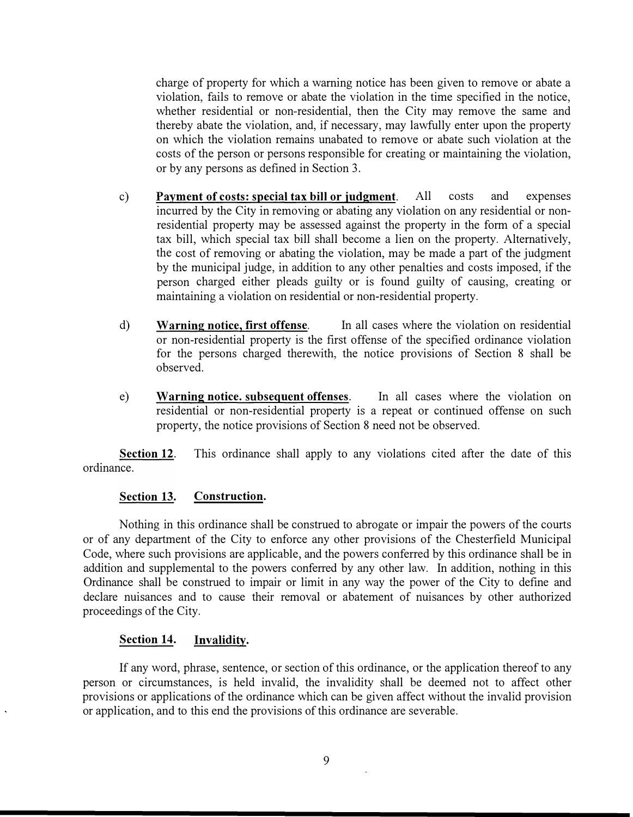charge of property for which a warning notice has been given to remove or abate a violation, fails to remove or abate the violation in the time specified in the notice, whether residential or non-residential, then the City may remove the same and thereby abate the violation, and, if necessary, may lawfully enter upon the property on which the violation remains unabated to remove or abate such violation at the costs of the person or persons responsible for creating or maintaining the violation, or by any persons as defined in Section 3.

- c) Payment of costs: special tax bill or judgment. All costs and expenses incurred by the City in removing or abating any violation on any residential or nonresidential property may be assessed against the property in the form of a special tax bill, which special tax bill shall become a lien on the property. Alternatively, the cost of removing or abating the violation, may be made a part of the judgment by the municipal judge, in addition to any other penalties and costs imposed, if the person charged either pleads guilty or is found guilty of causing, creating or maintaining a violation on residential or non-residential property.
- d) Warning notice, first offense. In all cases where the violation on residential or non-residential property is the first offense of the specified ordinance violation for the persons charged therewith, the notice provisions of Section 8 shall be observed.
- e) Warning notice. subsequent offenses. In all cases where the violation on residential or non-residential property is a repeat or continued offense on such property, the notice provisions of Section 8 need not be observed.

Section 12. This ordinance shall apply to any violations cited after the date of this ordinance.

## Section 13. Construction.

Nothing in this ordinance shall be construed to abrogate or impair the powers of the courts or of any department of the City to enforce any other provisions of the Chesterfield Municipal Code, where such provisions are applicable, and the powers conferred by this ordinance shall be in addition and supplemental to the powers conferred by any other law. In addition, nothing in this Ordinance shall be construed to impair or limit in any way the power of the City to define and declare nuisances and to cause their removal or abatement of nuisances by other authorized proceedings of the City.

## Section 14. Invalidity.

If any word, phrase, sentence, or section of this ordinance, or the application thereof to any person or circumstances, is held invalid, the invalidity shall be deemed not to affect other provisions or applications of the ordinance which can be given affect without the invalid provision or application, and to this end the provisions of this ordinance are severable.